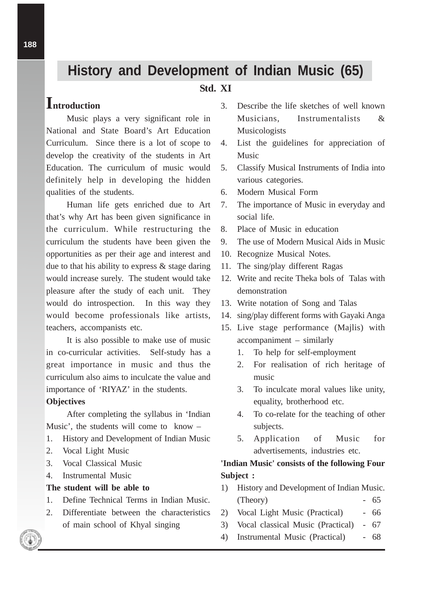# **History and Development of Indian Music (65)**

# **Std. XI**

# **Introduction**

Music plays a very significant role in National and State Board's Art Education Curriculum. Since there is a lot of scope to develop the creativity of the students in Art Education. The curriculum of music would definitely help in developing the hidden qualities of the students.

Human life gets enriched due to Art that's why Art has been given significance in the curriculum. While restructuring the curriculum the students have been given the opportunities as per their age and interest and due to that his ability to express & stage daring would increase surely. The student would take pleasure after the study of each unit. They would do introspection. In this way they would become professionals like artists, teachers, accompanists etc.

It is also possible to make use of music in co-curricular activities. Self-study has a great importance in music and thus the curriculum also aims to inculcate the value and importance of 'RIYAZ' in the students.

#### **Objectives**

After completing the syllabus in 'Indian Music', the students will come to know –

- 1. History and Development of Indian Music
- 2. Vocal Light Music
- 3. Vocal Classical Music
- 4. Instrumental Music

# **The student will be able to**

- 1. Define Technical Terms in Indian Music.
- 2. Differentiate between the characteristics of main school of Khyal singing
- 3. Describe the life sketches of well known Musicians, Instrumentalists & Musicologists
- 4. List the guidelines for appreciation of Music
- 5. Classify Musical Instruments of India into various categories.
- 6. Modern Musical Form
- 7. The importance of Music in everyday and social life.
- 8. Place of Music in education
- 9. The use of Modern Musical Aids in Music
- 10. Recognize Musical Notes.
- 11. The sing/play different Ragas
- 12. Write and recite Theka bols of Talas with demonstration
- 13. Write notation of Song and Talas
- 14. sing/play different forms with Gayaki Anga
- 15. Live stage performance (Majlis) with accompaniment – similarly
	- 1. To help for self-employment
	- 2. For realisation of rich heritage of music
	- 3. To inculcate moral values like unity, equality, brotherhood etc.
	- 4. To co-relate for the teaching of other subjects.
	- 5. Application of Music for advertisements, industries etc.

# **'Indian Music' consists of the following Four Subject :**

- 1) History and Development of Indian Music. (Theory) - 65
- 2) Vocal Light Music (Practical) 66
- 3) Vocal classical Music (Practical) 67
- 4) Instrumental Music (Practical) 68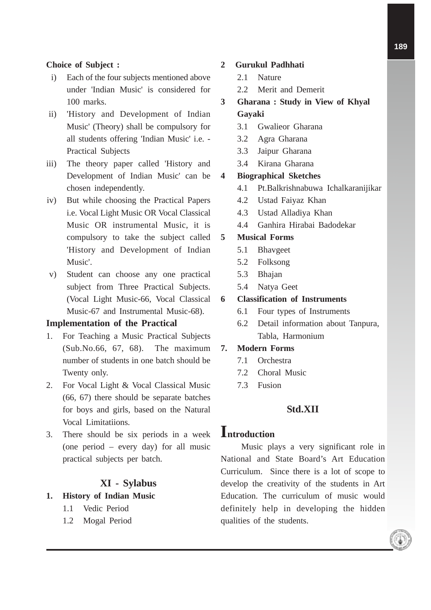#### **Choice of Subject :**

- i) Each of the four subjects mentioned above under 'Indian Music' is considered for 100 marks.
- ii) 'History and Development of Indian Music' (Theory) shall be compulsory for all students offering 'Indian Music' i.e. - Practical Subjects
- iii) The theory paper called 'History and Development of Indian Music' can be chosen independently.
- iv) But while choosing the Practical Papers i.e. Vocal Light Music OR Vocal Classical Music OR instrumental Music, it is compulsory to take the subject called 'History and Development of Indian Music'.
- v) Student can choose any one practical subject from Three Practical Subjects. (Vocal Light Music-66, Vocal Classical Music-67 and Instrumental Music-68).

#### **Implementation of the Practical**

- 1. For Teaching a Music Practical Subjects (Sub.No.66, 67, 68). The maximum number of students in one batch should be Twenty only.
- 2. For Vocal Light & Vocal Classical Music (66, 67) there should be separate batches for boys and girls, based on the Natural Vocal Limitatiions.
- 3. There should be six periods in a week (one period – every day) for all music practical subjects per batch.

## **XI - Sylabus**

#### **1. History of Indian Music**

- 1.1 Vedic Period
- 1.2 Mogal Period

#### **2 Gurukul Padhhati**

- 2.1 Nature
- 2.2 Merit and Demerit
- **3 Gharana : Study in View of Khyal Gayaki**
	- 3.1 Gwalieor Gharana
	- 3.2 Agra Gharana
	- 3.3 Jaipur Gharana
	- 3.4 Kirana Gharana

#### **4 Biographical Sketches**

- 4.1 Pt.Balkrishnabuwa Ichalkaranijikar
- 4.2 Ustad Faiyaz Khan
- 4.3 Ustad Alladiya Khan
- 4.4 Ganhira Hirabai Badodekar

#### **5 Musical Forms**

- 5.1 Bhavgeet
- 5.2 Folksong
- 5.3 Bhajan
- 5.4 Natya Geet

#### **6 Classification of Instruments**

- 6.1 Four types of Instruments
- 6.2 Detail information about Tanpura, Tabla, Harmonium

# **7. Modern Forms**

- 7.1 Orchestra
- 7.2 Choral Music
- 7.3 Fusion

# **Std.XII**

# **Introduction**

Music plays a very significant role in National and State Board's Art Education Curriculum. Since there is a lot of scope to develop the creativity of the students in Art Education. The curriculum of music would definitely help in developing the hidden qualities of the students.

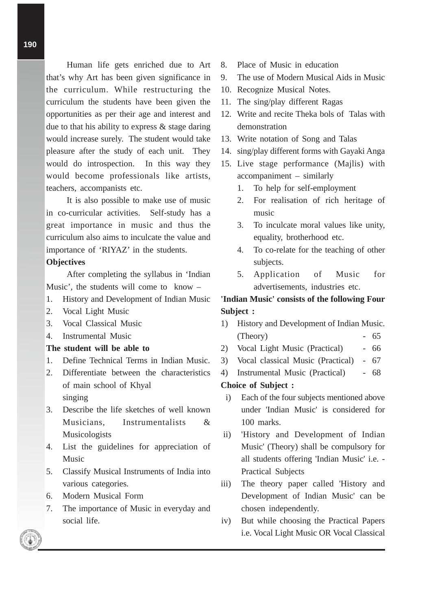Human life gets enriched due to Art that's why Art has been given significance in the curriculum. While restructuring the curriculum the students have been given the opportunities as per their age and interest and due to that his ability to express  $\&$  stage daring would increase surely. The student would take pleasure after the study of each unit. They would do introspection. In this way they would become professionals like artists, teachers, accompanists etc.

It is also possible to make use of music in co-curricular activities. Self-study has a great importance in music and thus the curriculum also aims to inculcate the value and importance of 'RIYAZ' in the students.

#### **Objectives**

After completing the syllabus in 'Indian Music', the students will come to know –

- 1. History and Development of Indian Music
- 2. Vocal Light Music
- 3. Vocal Classical Music
- 4. Instrumental Music

#### **The student will be able to**

- 1. Define Technical Terms in Indian Music.
- 2. Differentiate between the characteristics of main school of Khyal singing
- 3. Describe the life sketches of well known Musicians, Instrumentalists & Musicologists
- 4. List the guidelines for appreciation of Music
- 5. Classify Musical Instruments of India into various categories.
- 6. Modern Musical Form
- 7. The importance of Music in everyday and social life.
- 8. Place of Music in education
- 9. The use of Modern Musical Aids in Music
- 10. Recognize Musical Notes.
- 11. The sing/play different Ragas
- 12. Write and recite Theka bols of Talas with demonstration
- 13. Write notation of Song and Talas
- 14. sing/play different forms with Gayaki Anga
- 15. Live stage performance (Majlis) with accompaniment – similarly
	- 1. To help for self-employment
	- 2. For realisation of rich heritage of music
	- 3. To inculcate moral values like unity, equality, brotherhood etc.
	- 4. To co-relate for the teaching of other subjects.
	- 5. Application of Music for advertisements, industries etc.

# **'Indian Music' consists of the following Four Subject :**

- 1) History and Development of Indian Music.  $(Theory)$  - 65
- 2) Vocal Light Music (Practical) 66
- 3) Vocal classical Music (Practical) 67
- 4) Instrumental Music (Practical) 68

#### **Choice of Subject :**

- i) Each of the four subjects mentioned above under 'Indian Music' is considered for 100 marks.
- ii) 'History and Development of Indian Music' (Theory) shall be compulsory for all students offering 'Indian Music' i.e. - Practical Subjects
- iii) The theory paper called 'History and Development of Indian Music' can be chosen independently.
- iv) But while choosing the Practical Papers i.e. Vocal Light Music OR Vocal Classical